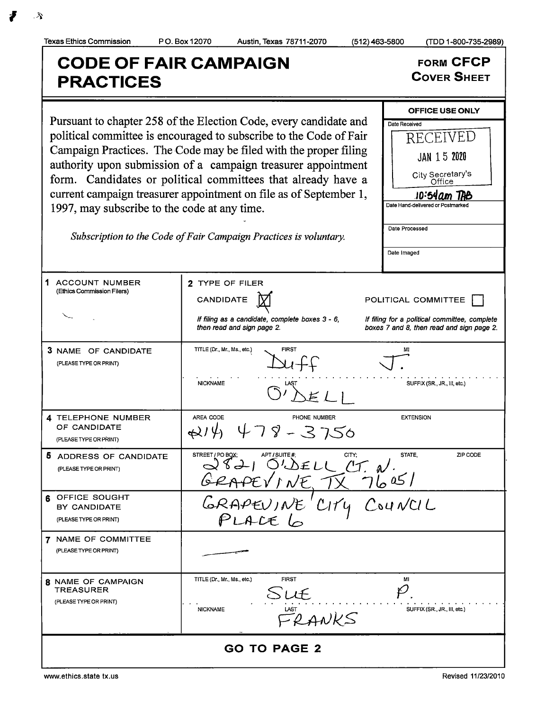CODE OF FAIR CAMPAIGN<br>
REACTICES<br>
COVER SHEET **PRACTICES** OFFICE USE ONLY Pursuant to chapter 258 of the Election Code, every candidate and  $\Gamma_{\text{Date Recoived}}$ political committee is encouraged to subscribe to the Code of Fair  $\Box$  RECEIVED Campaign Practices. The Code may be filed with the proper filing  $\frac{1}{100}$   $\frac{1}{100}$  15 2020 authority upon submission of <sup>a</sup> campaign treasurer appointment City Secretary<br>Office form. Candidates or political committees that already have <sup>a</sup> current campaign treasurer appointment on file as of September 1,  $\frac{10.54 \text{ nm}}{Det\text{ Hand-delivered or Postmarket}}$ 1997, may subscribe to the code at any time. Date Processed Subscription to the Code of Fair Campaign Practices is voluntary. Date Imaged 1 ACCOUNT NUMBER | 2 TYPE OF FILER Ethics Commission Filers)  $C$ ANDIDATE  $\boxed{X}$  POLITICAL COMMITTEE If filing as a candidate, complete boxes  $3 - 6$ , If filing for a political committee, complete then read and sign page 2. boxes 7 and 8, then read and sign page 2. **3** NAME OF CANDIDATE TITLE (Dr., Mr., Ms., etc.) FIRST FIRST MI  $\overline{\phantom{0}}$ PLEASE TYPE OR PRINT) NICKNAME LAST LAST SUFFIX (SR., JR., III, etc.) 4 TELEPHONE NUMBER | AREA CODE PHONE NUMBER EXTENSION  $14.47$ OF CANDIDATE  $\mathcal{S}$ - 3750 (PLEASE TYPE OR PRINT) 5 ADDRESS OF CANDIDATE PO BOX; APT / SUITE #; CITY; STATE, ZIP CODI PLEASE TYPE OR PRINT)  $Q\&L$   $LCL$ ,  $C$ ,  $N$ . t  $f \wedge \sqrt{f}$ BY CANDIDATE  $GRAPEVJNE$ 6 OFFICE SOUGH  $C_1$  $C_2$   $C_3$  $U$   $U$ PLEASETYPEORPRINT) LALE  $\varphi$ 7 NAME OF COMMITTEE (PLEASE TYPE OR PRINT) **8** NAME OF CAMPAIGN TITLE (Dr., Mr., Ms., etc.) FIRST FIRST TREASURER PLEASE TYPE OR PRINT) NICKNAME LAST LAST SUFFIX (SR., JR., III, etc.) ks GO TO PAGE 2

Texas Ethics Commission P O. Box 12070 Austin, Texas 78711- 2070 512) 463- 5800 ( TDD 1- 800- 735-2989)

 $f(x)$